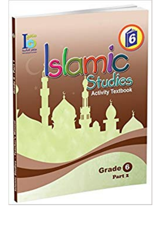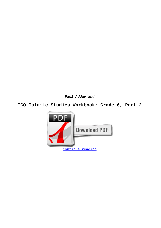**Paul Addae and**

## **ICO Islamic Studies Workbook: Grade 6, Part 2**

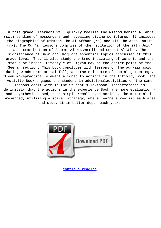In this grade, learners will quickly realize the wisdom behind Allah's (swt) sending of messengers and revealing divine scriptures. It includes the biographies of Uthmaan Ibn Al-Affaan (ra) and Ali Ibn Abee Taalib (ra). The Qur'an lessons comprise of the recitation of the 27th Juzu' and memorization of Soorat Al-Muzzammil and Soorat Al-Jinn. The significance of Sawm and Hajj are essential topics discussed at this grade level. They'll also study the true indicating of worship and the status of ihsaan. Lifestyle of Hijrah may be the center point of the Seerah section. This book concludes with lessons on the adhkaar said during windstorms or rainfall, and the etiquette of social gatherings. Gleam morepractical element aligned to actions in the Activity Book. The Activity Book engages the student in additionalactivities on the same lessons dealt with in the Student's Textbook. Thedifference is definitely that the actions in the experience Book are more evaluation and- synthesis based, than simple recall type actions. The material is presented, utilizing a spiral strategy, where learners revisit each area and study it in better depth each year.



[continue reading](http://bit.ly/2Tge8Fv)